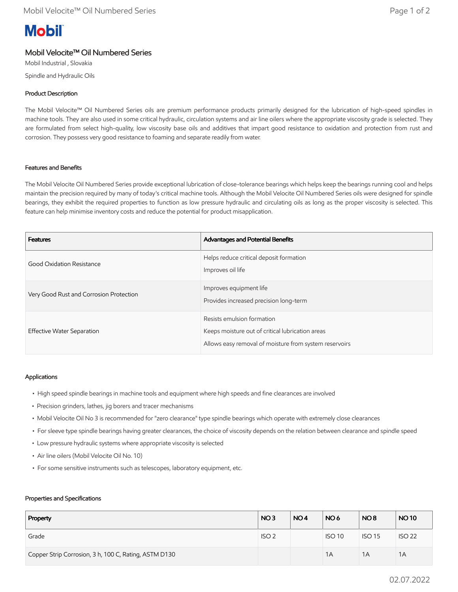# **Mobil**

# Mobil Velocite™ Oil Numbered Series

Mobil Industrial , Slovakia Spindle and Hydraulic Oils

## Product Description

The Mobil Velocite™ Oil Numbered Series oils are premium performance products primarily designed for the lubrication of high-speed spindles in machine tools. They are also used in some critical hydraulic, circulation systems and air line oilers where the appropriate viscosity grade is selected. They are formulated from select high-quality, low viscosity base oils and additives that impart good resistance to oxidation and protection from rust and corrosion. They possess very good resistance to foaming and separate readily from water.

### Features and Benefits

The Mobil Velocite Oil Numbered Series provide exceptional lubrication of close-tolerance bearings which helps keep the bearings running cool and helps maintain the precision required by many of today's critical machine tools. Although the Mobil Velocite Oil Numbered Series oils were designed for spindle bearings, they exhibit the required properties to function as low pressure hydraulic and circulating oils as long as the proper viscosity is selected. This feature can help minimise inventory costs and reduce the potential for product misapplication.

| <b>Features</b>                         | Advantages and Potential Benefits                                                                                                        |
|-----------------------------------------|------------------------------------------------------------------------------------------------------------------------------------------|
| Good Oxidation Resistance               | Helps reduce critical deposit formation<br>Improves oil life                                                                             |
| Very Good Rust and Corrosion Protection | Improves equipment life<br>Provides increased precision long-term                                                                        |
| Effective Water Separation              | Resists emulsion formation<br>Keeps moisture out of critical lubrication areas<br>Allows easy removal of moisture from system reservoirs |

### Applications

- High speed spindle bearings in machine tools and equipment where high speeds and fine clearances are involved
- Precision grinders, lathes, jig borers and tracer mechanisms
- Mobil Velocite Oil No 3 is recommended for "zero clearance" type spindle bearings which operate with extremely close clearances
- For sleeve type spindle bearings having greater clearances, the choice of viscosity depends on the relation between clearance and spindle speed
- Low pressure hydraulic systems where appropriate viscosity is selected
- Air line oilers (Mobil Velocite Oil No. 10)
- For some sensitive instruments such as telescopes, laboratory equipment, etc.

#### Properties and Specifications

| Property                                              | NO <sub>3</sub>  | NO <sub>4</sub> | NO <sub>6</sub> | NO <sub>8</sub> | <b>NO10</b>   |
|-------------------------------------------------------|------------------|-----------------|-----------------|-----------------|---------------|
| Grade                                                 | ISO <sub>2</sub> |                 | <b>ISO 10</b>   | <b>ISO 15</b>   | <b>ISO 22</b> |
| Copper Strip Corrosion, 3 h, 100 C, Rating, ASTM D130 |                  |                 | 1A              | 1A              | 1A            |